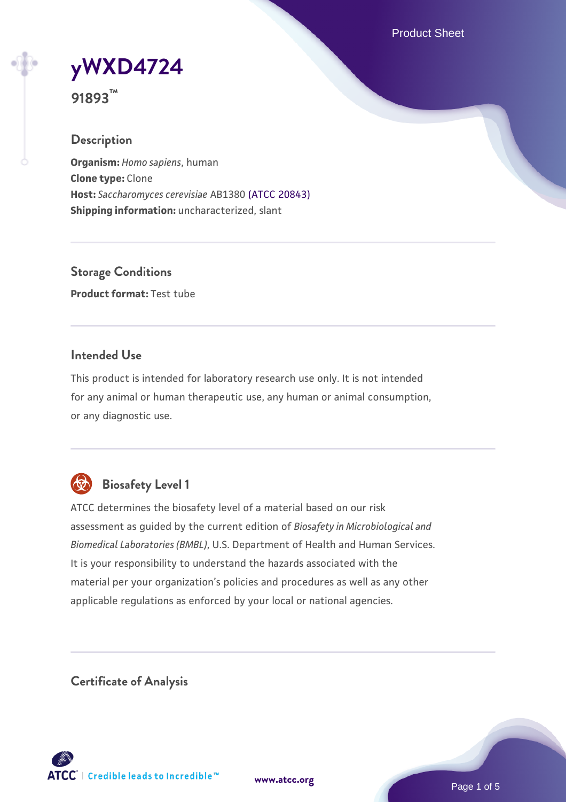Product Sheet

**[yWXD4724](https://www.atcc.org/products/91893)**

**91893™**

### **Description**

**Organism:** *Homo sapiens*, human **Clone type:** Clone **Host:** *Saccharomyces cerevisiae* AB1380 [\(ATCC 20843\)](https://www.atcc.org/products/20843) **Shipping information:** uncharacterized, slant

**Storage Conditions Product format:** Test tube

### **Intended Use**

This product is intended for laboratory research use only. It is not intended for any animal or human therapeutic use, any human or animal consumption, or any diagnostic use.



# **Biosafety Level 1**

ATCC determines the biosafety level of a material based on our risk assessment as guided by the current edition of *Biosafety in Microbiological and Biomedical Laboratories (BMBL)*, U.S. Department of Health and Human Services. It is your responsibility to understand the hazards associated with the material per your organization's policies and procedures as well as any other applicable regulations as enforced by your local or national agencies.

**Certificate of Analysis**

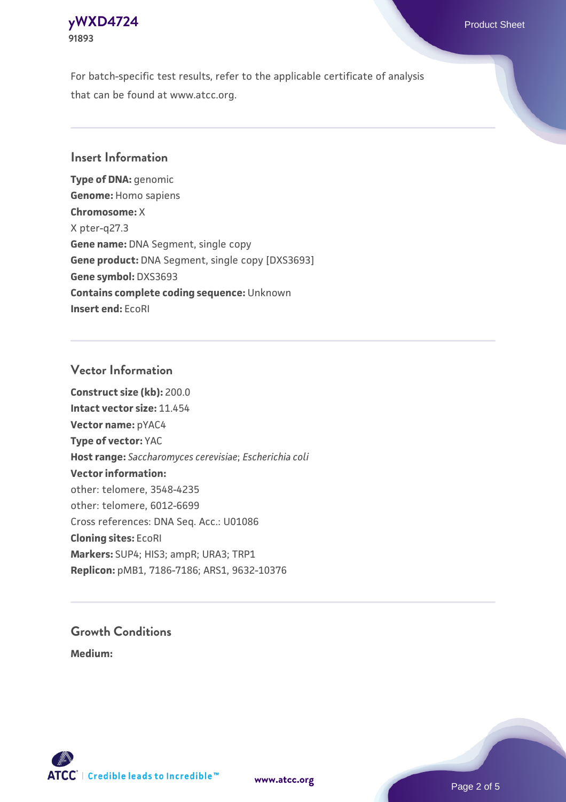### **[yWXD4724](https://www.atcc.org/products/91893)** Product Sheet **91893**

For batch-specific test results, refer to the applicable certificate of analysis that can be found at www.atcc.org.

### **Insert Information**

**Type of DNA:** genomic **Genome:** Homo sapiens **Chromosome:** X X pter-q27.3 **Gene name:** DNA Segment, single copy **Gene product:** DNA Segment, single copy [DXS3693] **Gene symbol:** DXS3693 **Contains complete coding sequence:** Unknown **Insert end:** EcoRI

#### **Vector Information**

**Construct size (kb):** 200.0 **Intact vector size:** 11.454 **Vector name:** pYAC4 **Type of vector:** YAC **Host range:** *Saccharomyces cerevisiae*; *Escherichia coli* **Vector information:** other: telomere, 3548-4235 other: telomere, 6012-6699 Cross references: DNA Seq. Acc.: U01086 **Cloning sites:** EcoRI **Markers:** SUP4; HIS3; ampR; URA3; TRP1 **Replicon:** pMB1, 7186-7186; ARS1, 9632-10376

# **Growth Conditions**

**Medium:** 



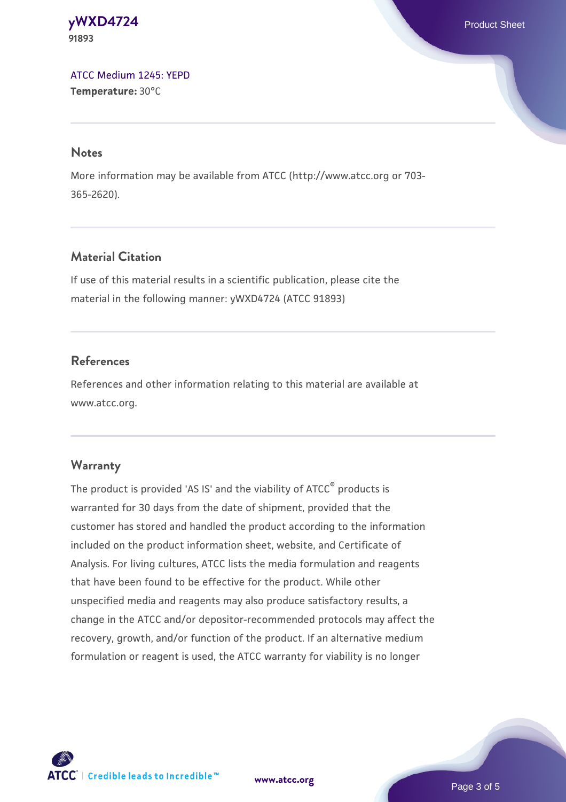#### **[yWXD4724](https://www.atcc.org/products/91893)** Product Sheet **91893**

[ATCC Medium 1245: YEPD](https://www.atcc.org/-/media/product-assets/documents/microbial-media-formulations/1/2/4/5/atcc-medium-1245.pdf?rev=705ca55d1b6f490a808a965d5c072196) **Temperature:** 30°C

#### **Notes**

More information may be available from ATCC (http://www.atcc.org or 703- 365-2620).

# **Material Citation**

If use of this material results in a scientific publication, please cite the material in the following manner: yWXD4724 (ATCC 91893)

# **References**

References and other information relating to this material are available at www.atcc.org.

# **Warranty**

The product is provided 'AS IS' and the viability of ATCC® products is warranted for 30 days from the date of shipment, provided that the customer has stored and handled the product according to the information included on the product information sheet, website, and Certificate of Analysis. For living cultures, ATCC lists the media formulation and reagents that have been found to be effective for the product. While other unspecified media and reagents may also produce satisfactory results, a change in the ATCC and/or depositor-recommended protocols may affect the recovery, growth, and/or function of the product. If an alternative medium formulation or reagent is used, the ATCC warranty for viability is no longer



**[www.atcc.org](http://www.atcc.org)**

Page 3 of 5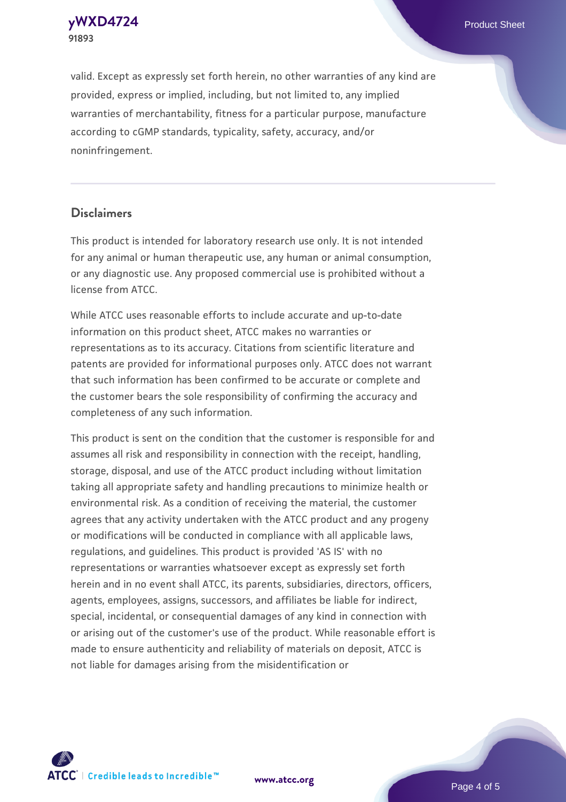**91893**

**[yWXD4724](https://www.atcc.org/products/91893)** Product Sheet

valid. Except as expressly set forth herein, no other warranties of any kind are provided, express or implied, including, but not limited to, any implied warranties of merchantability, fitness for a particular purpose, manufacture according to cGMP standards, typicality, safety, accuracy, and/or noninfringement.

#### **Disclaimers**

This product is intended for laboratory research use only. It is not intended for any animal or human therapeutic use, any human or animal consumption, or any diagnostic use. Any proposed commercial use is prohibited without a license from ATCC.

While ATCC uses reasonable efforts to include accurate and up-to-date information on this product sheet, ATCC makes no warranties or representations as to its accuracy. Citations from scientific literature and patents are provided for informational purposes only. ATCC does not warrant that such information has been confirmed to be accurate or complete and the customer bears the sole responsibility of confirming the accuracy and completeness of any such information.

This product is sent on the condition that the customer is responsible for and assumes all risk and responsibility in connection with the receipt, handling, storage, disposal, and use of the ATCC product including without limitation taking all appropriate safety and handling precautions to minimize health or environmental risk. As a condition of receiving the material, the customer agrees that any activity undertaken with the ATCC product and any progeny or modifications will be conducted in compliance with all applicable laws, regulations, and guidelines. This product is provided 'AS IS' with no representations or warranties whatsoever except as expressly set forth herein and in no event shall ATCC, its parents, subsidiaries, directors, officers, agents, employees, assigns, successors, and affiliates be liable for indirect, special, incidental, or consequential damages of any kind in connection with or arising out of the customer's use of the product. While reasonable effort is made to ensure authenticity and reliability of materials on deposit, ATCC is not liable for damages arising from the misidentification or



**[www.atcc.org](http://www.atcc.org)**

Page 4 of 5